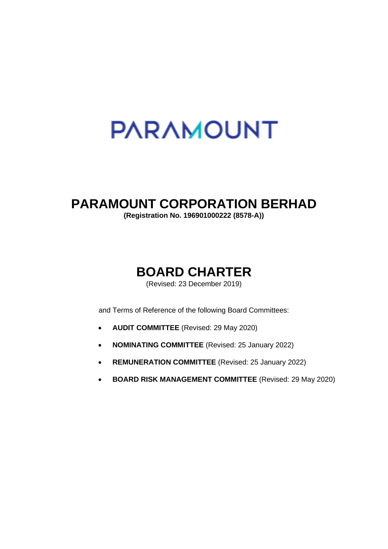# **PARAMOUNT**

# **PARAMOUNT CORPORATION BERHAD**

**(Registration No. 196901000222 (8578-A))**

# **BOARD CHARTER**

(Revised: 23 December 2019)

and Terms of Reference of the following Board Committees:

- **AUDIT COMMITTEE** (Revised: 29 May 2020)
- **NOMINATING COMMITTEE** (Revised: 25 January 2022)
- **REMUNERATION COMMITTEE** (Revised: 25 January 2022)
- **BOARD RISK MANAGEMENT COMMITTEE** (Revised: 29 May 2020)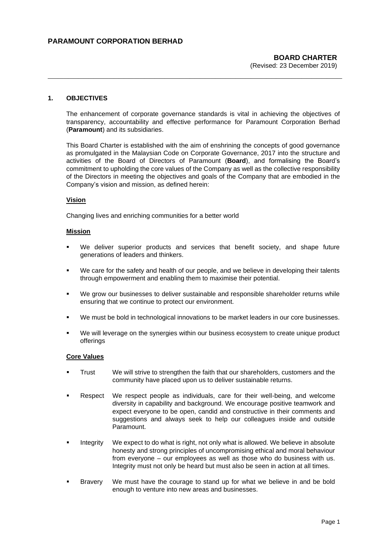# **1. OBJECTIVES**

The enhancement of corporate governance standards is vital in achieving the objectives of transparency, accountability and effective performance for Paramount Corporation Berhad (**Paramount**) and its subsidiaries.

**\_\_\_\_\_\_\_\_\_\_\_\_\_\_\_\_\_\_\_\_\_\_\_\_\_\_\_\_\_\_\_\_\_\_\_\_\_\_\_\_\_\_\_\_\_\_\_\_\_\_\_\_\_\_\_\_\_\_**

This Board Charter is established with the aim of enshrining the concepts of good governance as promulgated in the Malaysian Code on Corporate Governance, 2017 into the structure and activities of the Board of Directors of Paramount (**Board**), and formalising the Board's commitment to upholding the core values of the Company as well as the collective responsibility of the Directors in meeting the objectives and goals of the Company that are embodied in the Company's vision and mission, as defined herein:

#### **Vision**

Changing lives and enriching communities for a better world

#### **Mission**

- We deliver superior products and services that benefit society, and shape future generations of leaders and thinkers.
- We care for the safety and health of our people, and we believe in developing their talents through empowerment and enabling them to maximise their potential.
- We grow our businesses to deliver sustainable and responsible shareholder returns while ensuring that we continue to protect our environment.
- We must be bold in technological innovations to be market leaders in our core businesses.
- We will leverage on the synergies within our business ecosystem to create unique product offerings

#### **Core Values**

- Trust We will strive to strengthen the faith that our shareholders, customers and the community have placed upon us to deliver sustainable returns.
- Respect We respect people as individuals, care for their well-being, and welcome diversity in capability and background. We encourage positive teamwork and expect everyone to be open, candid and constructive in their comments and suggestions and always seek to help our colleagues inside and outside Paramount.
- Integrity We expect to do what is right, not only what is allowed. We believe in absolute honesty and strong principles of uncompromising ethical and moral behaviour from everyone – our employees as well as those who do business with us. Integrity must not only be heard but must also be seen in action at all times.
- Bravery We must have the courage to stand up for what we believe in and be bold enough to venture into new areas and businesses.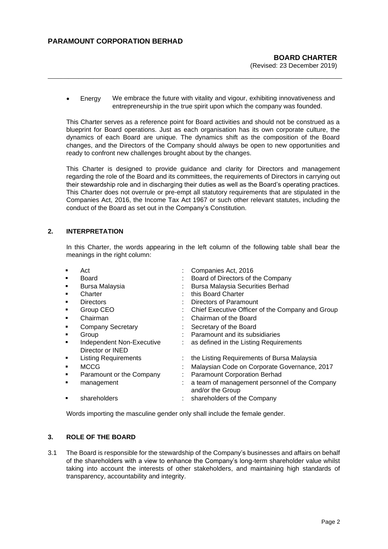• Energy We embrace the future with vitality and vigour, exhibiting innovativeness and entrepreneurship in the true spirit upon which the company was founded.

**\_\_\_\_\_\_\_\_\_\_\_\_\_\_\_\_\_\_\_\_\_\_\_\_\_\_\_\_\_\_\_\_\_\_\_\_\_\_\_\_\_\_\_\_\_\_\_\_\_\_\_\_\_\_\_\_\_\_**

This Charter serves as a reference point for Board activities and should not be construed as a blueprint for Board operations. Just as each organisation has its own corporate culture, the dynamics of each Board are unique. The dynamics shift as the composition of the Board changes, and the Directors of the Company should always be open to new opportunities and ready to confront new challenges brought about by the changes.

This Charter is designed to provide guidance and clarity for Directors and management regarding the role of the Board and its committees, the requirements of Directors in carrying out their stewardship role and in discharging their duties as well as the Board's operating practices. This Charter does not overrule or pre-empt all statutory requirements that are stipulated in the Companies Act, 2016, the Income Tax Act 1967 or such other relevant statutes, including the conduct of the Board as set out in the Company's Constitution.

# **2. INTERPRETATION**

In this Charter, the words appearing in the left column of the following table shall bear the meanings in the right column:

|   | Act                         | Companies Act, 2016                                               |
|---|-----------------------------|-------------------------------------------------------------------|
| ٠ | Board                       | Board of Directors of the Company                                 |
| ٠ | Bursa Malaysia              | Bursa Malaysia Securities Berhad                                  |
| ٠ | Charter                     | this Board Charter                                                |
| ٠ | <b>Directors</b>            | Directors of Paramount                                            |
| ٠ | Group CEO                   | Chief Executive Officer of the Company and Group                  |
| ٠ | Chairman                    | Chairman of the Board                                             |
| ٠ | <b>Company Secretary</b>    | Secretary of the Board                                            |
| ٠ | Group                       | Paramount and its subsidiaries                                    |
| п | Independent Non-Executive   | as defined in the Listing Requirements                            |
|   | Director or <b>INED</b>     |                                                                   |
| ٠ | <b>Listing Requirements</b> | the Listing Requirements of Bursa Malaysia                        |
| п | MCCG                        | Malaysian Code on Corporate Governance, 2017                      |
| ٠ | Paramount or the Company    | <b>Paramount Corporation Berhad</b>                               |
|   | management                  | a team of management personnel of the Company<br>and/or the Group |
| п | shareholders                | : shareholders of the Company                                     |

Words importing the masculine gender only shall include the female gender.

# **3. ROLE OF THE BOARD**

3.1 The Board is responsible for the stewardship of the Company's businesses and affairs on behalf of the shareholders with a view to enhance the Company's long-term shareholder value whilst taking into account the interests of other stakeholders, and maintaining high standards of transparency, accountability and integrity.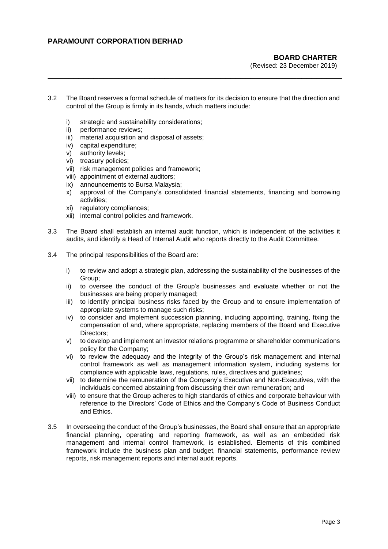# **BOARD CHARTER**

(Revised: 23 December 2019)

3.2 The Board reserves a formal schedule of matters for its decision to ensure that the direction and control of the Group is firmly in its hands, which matters include:

**\_\_\_\_\_\_\_\_\_\_\_\_\_\_\_\_\_\_\_\_\_\_\_\_\_\_\_\_\_\_\_\_\_\_\_\_\_\_\_\_\_\_\_\_\_\_\_\_\_\_\_\_\_\_\_\_\_\_**

- i) strategic and sustainability considerations;
- ii) performance reviews;
- iii) material acquisition and disposal of assets;
- iv) capital expenditure;
- v) authority levels;
- vi) treasury policies;
- vii) risk management policies and framework;
- viii) appointment of external auditors;
- ix) announcements to Bursa Malaysia;
- x) approval of the Company's consolidated financial statements, financing and borrowing activities;
- xi) regulatory compliances;
- xii) internal control policies and framework.
- 3.3 The Board shall establish an internal audit function, which is independent of the activities it audits, and identify a Head of Internal Audit who reports directly to the Audit Committee.
- 3.4 The principal responsibilities of the Board are:
	- i) to review and adopt a strategic plan, addressing the sustainability of the businesses of the Group;
	- ii) to oversee the conduct of the Group's businesses and evaluate whether or not the businesses are being properly managed;
	- iii) to identify principal business risks faced by the Group and to ensure implementation of appropriate systems to manage such risks;
	- iv) to consider and implement succession planning, including appointing, training, fixing the compensation of and, where appropriate, replacing members of the Board and Executive Directors;
	- v) to develop and implement an investor relations programme or shareholder communications policy for the Company;
	- vi) to review the adequacy and the integrity of the Group's risk management and internal control framework as well as management information system, including systems for compliance with applicable laws, regulations, rules, directives and guidelines;
	- vii) to determine the remuneration of the Company's Executive and Non-Executives, with the individuals concerned abstaining from discussing their own remuneration; and
	- viii) to ensure that the Group adheres to high standards of ethics and corporate behaviour with reference to the Directors' Code of Ethics and the Company's Code of Business Conduct and Ethics.
- 3.5 In overseeing the conduct of the Group's businesses, the Board shall ensure that an appropriate financial planning, operating and reporting framework, as well as an embedded risk management and internal control framework, is established. Elements of this combined framework include the business plan and budget, financial statements, performance review reports, risk management reports and internal audit reports.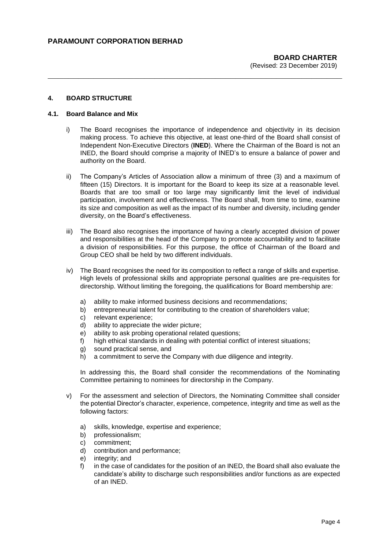#### **4. BOARD STRUCTURE**

#### **4.1. Board Balance and Mix**

i) The Board recognises the importance of independence and objectivity in its decision making process. To achieve this objective, at least one-third of the Board shall consist of Independent Non-Executive Directors (**INED**). Where the Chairman of the Board is not an INED, the Board should comprise a majority of INED's to ensure a balance of power and authority on the Board.

**\_\_\_\_\_\_\_\_\_\_\_\_\_\_\_\_\_\_\_\_\_\_\_\_\_\_\_\_\_\_\_\_\_\_\_\_\_\_\_\_\_\_\_\_\_\_\_\_\_\_\_\_\_\_\_\_\_\_**

- ii) The Company's Articles of Association allow a minimum of three (3) and a maximum of fifteen (15) Directors. It is important for the Board to keep its size at a reasonable level. Boards that are too small or too large may significantly limit the level of individual participation, involvement and effectiveness. The Board shall, from time to time, examine its size and composition as well as the impact of its number and diversity, including gender diversity, on the Board's effectiveness.
- iii) The Board also recognises the importance of having a clearly accepted division of power and responsibilities at the head of the Company to promote accountability and to facilitate a division of responsibilities. For this purpose, the office of Chairman of the Board and Group CEO shall be held by two different individuals.
- iv) The Board recognises the need for its composition to reflect a range of skills and expertise. High levels of professional skills and appropriate personal qualities are pre-requisites for directorship. Without limiting the foregoing, the qualifications for Board membership are:
	- a) ability to make informed business decisions and recommendations;
	- b) entrepreneurial talent for contributing to the creation of shareholders value;
	- c) relevant experience;
	- d) ability to appreciate the wider picture;
	- e) ability to ask probing operational related questions;
	- f) high ethical standards in dealing with potential conflict of interest situations;
	- g) sound practical sense, and
	- h) a commitment to serve the Company with due diligence and integrity.

In addressing this, the Board shall consider the recommendations of the Nominating Committee pertaining to nominees for directorship in the Company.

- v) For the assessment and selection of Directors, the Nominating Committee shall consider the potential Director's character, experience, competence, integrity and time as well as the following factors:
	- a) skills, knowledge, expertise and experience;
	- b) professionalism;
	- c) commitment;
	- d) contribution and performance;
	- e) integrity; and
	- f) in the case of candidates for the position of an INED, the Board shall also evaluate the candidate's ability to discharge such responsibilities and/or functions as are expected of an INED.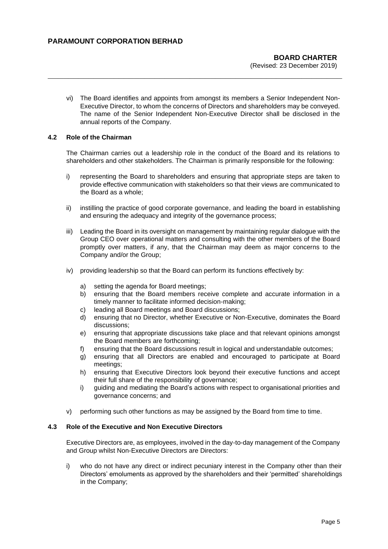vi) The Board identifies and appoints from amongst its members a Senior Independent Non-Executive Director, to whom the concerns of Directors and shareholders may be conveyed. The name of the Senior Independent Non-Executive Director shall be disclosed in the annual reports of the Company.

**\_\_\_\_\_\_\_\_\_\_\_\_\_\_\_\_\_\_\_\_\_\_\_\_\_\_\_\_\_\_\_\_\_\_\_\_\_\_\_\_\_\_\_\_\_\_\_\_\_\_\_\_\_\_\_\_\_\_**

#### **4.2 Role of the Chairman**

The Chairman carries out a leadership role in the conduct of the Board and its relations to shareholders and other stakeholders. The Chairman is primarily responsible for the following:

- i) representing the Board to shareholders and ensuring that appropriate steps are taken to provide effective communication with stakeholders so that their views are communicated to the Board as a whole;
- ii) instilling the practice of good corporate governance, and leading the board in establishing and ensuring the adequacy and integrity of the governance process;
- iii) Leading the Board in its oversight on management by maintaining regular dialogue with the Group CEO over operational matters and consulting with the other members of the Board promptly over matters, if any, that the Chairman may deem as major concerns to the Company and/or the Group;
- iv) providing leadership so that the Board can perform its functions effectively by:
	- a) setting the agenda for Board meetings;
	- b) ensuring that the Board members receive complete and accurate information in a timely manner to facilitate informed decision-making;
	- c) leading all Board meetings and Board discussions;
	- d) ensuring that no Director, whether Executive or Non-Executive, dominates the Board discussions;
	- e) ensuring that appropriate discussions take place and that relevant opinions amongst the Board members are forthcoming;
	- f) ensuring that the Board discussions result in logical and understandable outcomes;
	- g) ensuring that all Directors are enabled and encouraged to participate at Board meetings;
	- h) ensuring that Executive Directors look beyond their executive functions and accept their full share of the responsibility of governance;
	- i) guiding and mediating the Board's actions with respect to organisational priorities and governance concerns; and
- v) performing such other functions as may be assigned by the Board from time to time.

### **4.3 Role of the Executive and Non Executive Directors**

Executive Directors are, as employees, involved in the day-to-day management of the Company and Group whilst Non-Executive Directors are Directors:

i) who do not have any direct or indirect pecuniary interest in the Company other than their Directors' emoluments as approved by the shareholders and their 'permitted' shareholdings in the Company;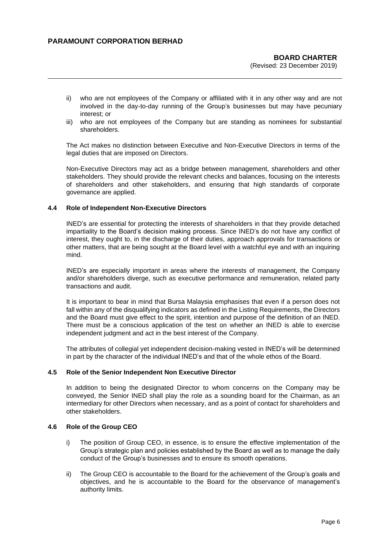ii) who are not employees of the Company or affiliated with it in any other way and are not involved in the day-to-day running of the Group's businesses but may have pecuniary interest; or

**\_\_\_\_\_\_\_\_\_\_\_\_\_\_\_\_\_\_\_\_\_\_\_\_\_\_\_\_\_\_\_\_\_\_\_\_\_\_\_\_\_\_\_\_\_\_\_\_\_\_\_\_\_\_\_\_\_\_**

iii) who are not employees of the Company but are standing as nominees for substantial shareholders.

The Act makes no distinction between Executive and Non-Executive Directors in terms of the legal duties that are imposed on Directors.

Non-Executive Directors may act as a bridge between management, shareholders and other stakeholders. They should provide the relevant checks and balances, focusing on the interests of shareholders and other stakeholders, and ensuring that high standards of corporate governance are applied.

#### **4.4 Role of Independent Non-Executive Directors**

INED's are essential for protecting the interests of shareholders in that they provide detached impartiality to the Board's decision making process. Since INED's do not have any conflict of interest, they ought to, in the discharge of their duties, approach approvals for transactions or other matters, that are being sought at the Board level with a watchful eye and with an inquiring mind.

INED's are especially important in areas where the interests of management, the Company and/or shareholders diverge, such as executive performance and remuneration, related party transactions and audit.

It is important to bear in mind that Bursa Malaysia emphasises that even if a person does not fall within any of the disqualifying indicators as defined in the Listing Requirements, the Directors and the Board must give effect to the spirit, intention and purpose of the definition of an INED. There must be a conscious application of the test on whether an INED is able to exercise independent judgment and act in the best interest of the Company.

The attributes of collegial yet independent decision-making vested in INED's will be determined in part by the character of the individual INED's and that of the whole ethos of the Board.

#### **4.5 Role of the Senior Independent Non Executive Director**

In addition to being the designated Director to whom concerns on the Company may be conveyed, the Senior INED shall play the role as a sounding board for the Chairman, as an intermediary for other Directors when necessary, and as a point of contact for shareholders and other stakeholders.

#### **4.6 Role of the Group CEO**

- i) The position of Group CEO, in essence, is to ensure the effective implementation of the Group's strategic plan and policies established by the Board as well as to manage the daily conduct of the Group's businesses and to ensure its smooth operations.
- ii) The Group CEO is accountable to the Board for the achievement of the Group's goals and objectives, and he is accountable to the Board for the observance of management's authority limits.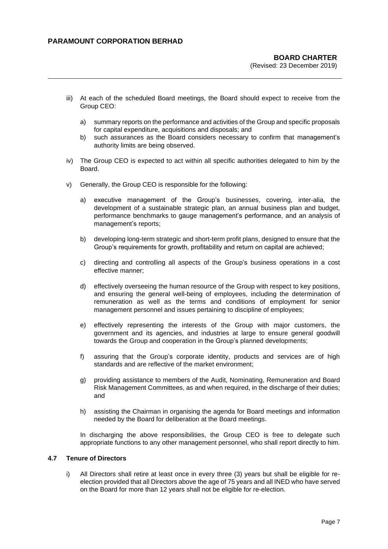iii) At each of the scheduled Board meetings, the Board should expect to receive from the Group CEO:

**\_\_\_\_\_\_\_\_\_\_\_\_\_\_\_\_\_\_\_\_\_\_\_\_\_\_\_\_\_\_\_\_\_\_\_\_\_\_\_\_\_\_\_\_\_\_\_\_\_\_\_\_\_\_\_\_\_\_**

- a) summary reports on the performance and activities of the Group and specific proposals for capital expenditure, acquisitions and disposals; and
- b) such assurances as the Board considers necessary to confirm that management's authority limits are being observed.
- iv) The Group CEO is expected to act within all specific authorities delegated to him by the Board.
- v) Generally, the Group CEO is responsible for the following:
	- a) executive management of the Group's businesses, covering, inter-alia, the development of a sustainable strategic plan, an annual business plan and budget, performance benchmarks to gauge management's performance, and an analysis of management's reports;
	- b) developing long-term strategic and short-term profit plans, designed to ensure that the Group's requirements for growth, profitability and return on capital are achieved;
	- c) directing and controlling all aspects of the Group's business operations in a cost effective manner;
	- d) effectively overseeing the human resource of the Group with respect to key positions, and ensuring the general well-being of employees, including the determination of remuneration as well as the terms and conditions of employment for senior management personnel and issues pertaining to discipline of employees;
	- e) effectively representing the interests of the Group with major customers, the government and its agencies, and industries at large to ensure general goodwill towards the Group and cooperation in the Group's planned developments;
	- f) assuring that the Group's corporate identity, products and services are of high standards and are reflective of the market environment;
	- g) providing assistance to members of the Audit, Nominating, Remuneration and Board Risk Management Committees, as and when required, in the discharge of their duties; and
	- h) assisting the Chairman in organising the agenda for Board meetings and information needed by the Board for deliberation at the Board meetings.

In discharging the above responsibilities, the Group CEO is free to delegate such appropriate functions to any other management personnel, who shall report directly to him.

# **4.7 Tenure of Directors**

i) All Directors shall retire at least once in every three (3) years but shall be eligible for reelection provided that all Directors above the age of 75 years and all INED who have served on the Board for more than 12 years shall not be eligible for re-election.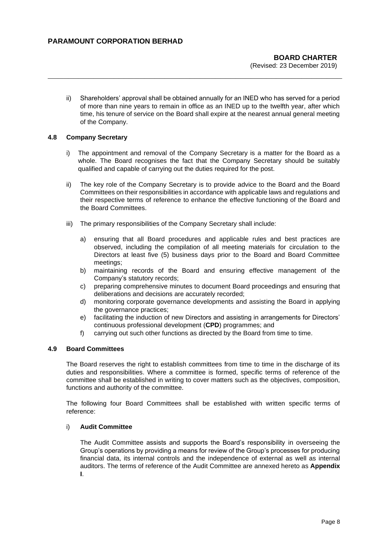ii) Shareholders' approval shall be obtained annually for an INED who has served for a period of more than nine years to remain in office as an INED up to the twelfth year, after which time, his tenure of service on the Board shall expire at the nearest annual general meeting of the Company.

**\_\_\_\_\_\_\_\_\_\_\_\_\_\_\_\_\_\_\_\_\_\_\_\_\_\_\_\_\_\_\_\_\_\_\_\_\_\_\_\_\_\_\_\_\_\_\_\_\_\_\_\_\_\_\_\_\_\_**

#### **4.8 Company Secretary**

- i) The appointment and removal of the Company Secretary is a matter for the Board as a whole. The Board recognises the fact that the Company Secretary should be suitably qualified and capable of carrying out the duties required for the post.
- ii) The key role of the Company Secretary is to provide advice to the Board and the Board Committees on their responsibilities in accordance with applicable laws and regulations and their respective terms of reference to enhance the effective functioning of the Board and the Board Committees.
- iii) The primary responsibilities of the Company Secretary shall include:
	- a) ensuring that all Board procedures and applicable rules and best practices are observed, including the compilation of all meeting materials for circulation to the Directors at least five (5) business days prior to the Board and Board Committee meetings;
	- b) maintaining records of the Board and ensuring effective management of the Company's statutory records;
	- c) preparing comprehensive minutes to document Board proceedings and ensuring that deliberations and decisions are accurately recorded;
	- d) monitoring corporate governance developments and assisting the Board in applying the governance practices;
	- e) facilitating the induction of new Directors and assisting in arrangements for Directors' continuous professional development (**CPD**) programmes; and
	- f) carrying out such other functions as directed by the Board from time to time.

#### **4.9 Board Committees**

The Board reserves the right to establish committees from time to time in the discharge of its duties and responsibilities. Where a committee is formed, specific terms of reference of the committee shall be established in writing to cover matters such as the objectives, composition, functions and authority of the committee.

The following four Board Committees shall be established with written specific terms of reference:

### i) **Audit Committee**

The Audit Committee assists and supports the Board's responsibility in overseeing the Group's operations by providing a means for review of the Group's processes for producing financial data, its internal controls and the independence of external as well as internal auditors. The terms of reference of the Audit Committee are annexed hereto as **Appendix I**.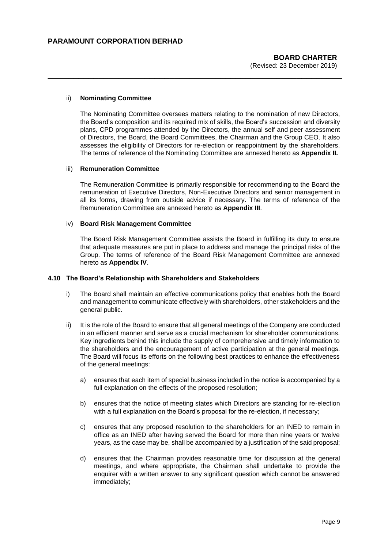#### ii) **Nominating Committee**

The Nominating Committee oversees matters relating to the nomination of new Directors, the Board's composition and its required mix of skills, the Board's succession and diversity plans, CPD programmes attended by the Directors, the annual self and peer assessment of Directors, the Board, the Board Committees, the Chairman and the Group CEO. It also assesses the eligibility of Directors for re-election or reappointment by the shareholders. The terms of reference of the Nominating Committee are annexed hereto as **Appendix II.**

**\_\_\_\_\_\_\_\_\_\_\_\_\_\_\_\_\_\_\_\_\_\_\_\_\_\_\_\_\_\_\_\_\_\_\_\_\_\_\_\_\_\_\_\_\_\_\_\_\_\_\_\_\_\_\_\_\_\_**

#### iii) **Remuneration Committee**

The Remuneration Committee is primarily responsible for recommending to the Board the remuneration of Executive Directors, Non-Executive Directors and senior management in all its forms, drawing from outside advice if necessary. The terms of reference of the Remuneration Committee are annexed hereto as **Appendix III**.

#### iv) **Board Risk Management Committee**

The Board Risk Management Committee assists the Board in fulfilling its duty to ensure that adequate measures are put in place to address and manage the principal risks of the Group. The terms of reference of the Board Risk Management Committee are annexed hereto as **Appendix IV**.

#### **4.10 The Board's Relationship with Shareholders and Stakeholders**

- i) The Board shall maintain an effective communications policy that enables both the Board and management to communicate effectively with shareholders, other stakeholders and the general public.
- ii) It is the role of the Board to ensure that all general meetings of the Company are conducted in an efficient manner and serve as a crucial mechanism for shareholder communications. Key ingredients behind this include the supply of comprehensive and timely information to the shareholders and the encouragement of active participation at the general meetings. The Board will focus its efforts on the following best practices to enhance the effectiveness of the general meetings:
	- a) ensures that each item of special business included in the notice is accompanied by a full explanation on the effects of the proposed resolution;
	- b) ensures that the notice of meeting states which Directors are standing for re-election with a full explanation on the Board's proposal for the re-election, if necessary;
	- c) ensures that any proposed resolution to the shareholders for an INED to remain in office as an INED after having served the Board for more than nine years or twelve years, as the case may be, shall be accompanied by a justification of the said proposal;
	- d) ensures that the Chairman provides reasonable time for discussion at the general meetings, and where appropriate, the Chairman shall undertake to provide the enquirer with a written answer to any significant question which cannot be answered immediately;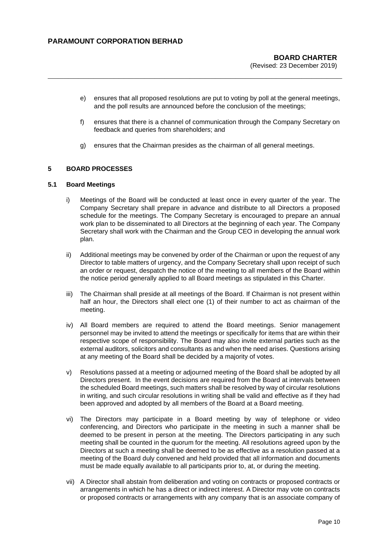- e) ensures that all proposed resolutions are put to voting by poll at the general meetings, and the poll results are announced before the conclusion of the meetings;
- f) ensures that there is a channel of communication through the Company Secretary on feedback and queries from shareholders; and
- g) ensures that the Chairman presides as the chairman of all general meetings.

**\_\_\_\_\_\_\_\_\_\_\_\_\_\_\_\_\_\_\_\_\_\_\_\_\_\_\_\_\_\_\_\_\_\_\_\_\_\_\_\_\_\_\_\_\_\_\_\_\_\_\_\_\_\_\_\_\_\_**

#### **5 BOARD PROCESSES**

#### **5.1 Board Meetings**

- i) Meetings of the Board will be conducted at least once in every quarter of the year. The Company Secretary shall prepare in advance and distribute to all Directors a proposed schedule for the meetings. The Company Secretary is encouraged to prepare an annual work plan to be disseminated to all Directors at the beginning of each year. The Company Secretary shall work with the Chairman and the Group CEO in developing the annual work plan.
- ii) Additional meetings may be convened by order of the Chairman or upon the request of any Director to table matters of urgency, and the Company Secretary shall upon receipt of such an order or request, despatch the notice of the meeting to all members of the Board within the notice period generally applied to all Board meetings as stipulated in this Charter.
- iii) The Chairman shall preside at all meetings of the Board. If Chairman is not present within half an hour, the Directors shall elect one (1) of their number to act as chairman of the meeting.
- iv) All Board members are required to attend the Board meetings. Senior management personnel may be invited to attend the meetings or specifically for items that are within their respective scope of responsibility. The Board may also invite external parties such as the external auditors, solicitors and consultants as and when the need arises. Questions arising at any meeting of the Board shall be decided by a majority of votes.
- v) Resolutions passed at a meeting or adjourned meeting of the Board shall be adopted by all Directors present. In the event decisions are required from the Board at intervals between the scheduled Board meetings, such matters shall be resolved by way of circular resolutions in writing, and such circular resolutions in writing shall be valid and effective as if they had been approved and adopted by all members of the Board at a Board meeting.
- vi) The Directors may participate in a Board meeting by way of telephone or video conferencing, and Directors who participate in the meeting in such a manner shall be deemed to be present in person at the meeting. The Directors participating in any such meeting shall be counted in the quorum for the meeting. All resolutions agreed upon by the Directors at such a meeting shall be deemed to be as effective as a resolution passed at a meeting of the Board duly convened and held provided that all information and documents must be made equally available to all participants prior to, at, or during the meeting.
- vii) A Director shall abstain from deliberation and voting on contracts or proposed contracts or arrangements in which he has a direct or indirect interest. A Director may vote on contracts or proposed contracts or arrangements with any company that is an associate company of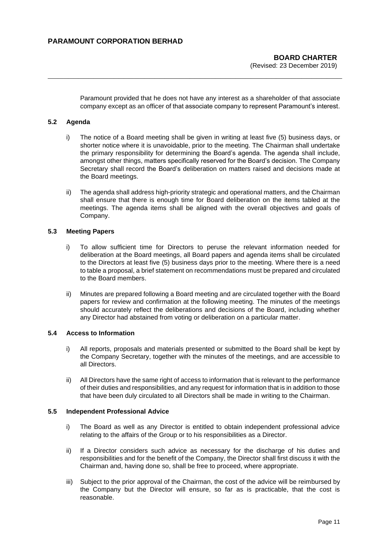Paramount provided that he does not have any interest as a shareholder of that associate company except as an officer of that associate company to represent Paramount's interest.

**\_\_\_\_\_\_\_\_\_\_\_\_\_\_\_\_\_\_\_\_\_\_\_\_\_\_\_\_\_\_\_\_\_\_\_\_\_\_\_\_\_\_\_\_\_\_\_\_\_\_\_\_\_\_\_\_\_\_**

### **5.2 Agenda**

- i) The notice of a Board meeting shall be given in writing at least five (5) business days, or shorter notice where it is unavoidable, prior to the meeting. The Chairman shall undertake the primary responsibility for determining the Board's agenda. The agenda shall include, amongst other things, matters specifically reserved for the Board's decision. The Company Secretary shall record the Board's deliberation on matters raised and decisions made at the Board meetings.
- ii) The agenda shall address high-priority strategic and operational matters, and the Chairman shall ensure that there is enough time for Board deliberation on the items tabled at the meetings. The agenda items shall be aligned with the overall objectives and goals of Company.

### **5.3 Meeting Papers**

- i) To allow sufficient time for Directors to peruse the relevant information needed for deliberation at the Board meetings, all Board papers and agenda items shall be circulated to the Directors at least five (5) business days prior to the meeting. Where there is a need to table a proposal, a brief statement on recommendations must be prepared and circulated to the Board members.
- ii) Minutes are prepared following a Board meeting and are circulated together with the Board papers for review and confirmation at the following meeting. The minutes of the meetings should accurately reflect the deliberations and decisions of the Board, including whether any Director had abstained from voting or deliberation on a particular matter.

#### **5.4 Access to Information**

- i) All reports, proposals and materials presented or submitted to the Board shall be kept by the Company Secretary, together with the minutes of the meetings, and are accessible to all Directors.
- ii) All Directors have the same right of access to information that is relevant to the performance of their duties and responsibilities, and any request for information that is in addition to those that have been duly circulated to all Directors shall be made in writing to the Chairman.

#### **5.5 Independent Professional Advice**

- i) The Board as well as any Director is entitled to obtain independent professional advice relating to the affairs of the Group or to his responsibilities as a Director.
- ii) If a Director considers such advice as necessary for the discharge of his duties and responsibilities and for the benefit of the Company, the Director shall first discuss it with the Chairman and, having done so, shall be free to proceed, where appropriate.
- iii) Subject to the prior approval of the Chairman, the cost of the advice will be reimbursed by the Company but the Director will ensure, so far as is practicable, that the cost is reasonable.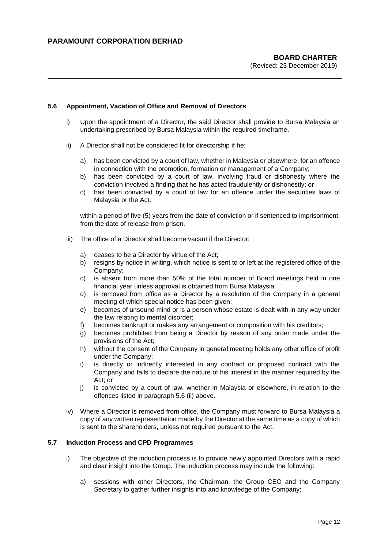#### **5.6 Appointment, Vacation of Office and Removal of Directors**

i) Upon the appointment of a Director, the said Director shall provide to Bursa Malaysia an undertaking prescribed by Bursa Malaysia within the required timeframe.

**\_\_\_\_\_\_\_\_\_\_\_\_\_\_\_\_\_\_\_\_\_\_\_\_\_\_\_\_\_\_\_\_\_\_\_\_\_\_\_\_\_\_\_\_\_\_\_\_\_\_\_\_\_\_\_\_\_\_**

- ii) A Director shall not be considered fit for directorship if he:
	- a) has been convicted by a court of law, whether in Malaysia or elsewhere, for an offence in connection with the promotion, formation or management of a Company;
	- b) has been convicted by a court of law, involving fraud or dishonesty where the conviction involved a finding that he has acted fraudulently or dishonestly; or
	- c) has been convicted by a court of law for an offence under the securities laws of Malaysia or the Act.

within a period of five (5) years from the date of conviction or if sentenced to imprisonment, from the date of release from prison.

- iii) The office of a Director shall become vacant if the Director:
	- a) ceases to be a Director by virtue of the Act;
	- b) resigns by notice in writing, which notice is sent to or left at the registered office of the Company;
	- c) is absent from more than 50% of the total number of Board meetings held in one financial year unless approval is obtained from Bursa Malaysia;
	- d) is removed from office as a Director by a resolution of the Company in a general meeting of which special notice has been given;
	- e) becomes of unsound mind or is a person whose estate is dealt with in any way under the law relating to mental disorder;
	- f) becomes bankrupt or makes any arrangement or composition with his creditors;
	- g) becomes prohibited from being a Director by reason of any order made under the provisions of the Act;
	- h) without the consent of the Company in general meeting holds any other office of profit under the Company;
	- i) is directly or indirectly interested in any contract or proposed contract with the Company and fails to declare the nature of his interest in the manner required by the Act; or
	- j) is convicted by a court of law, whether in Malaysia or elsewhere, in relation to the offences listed in paragraph 5.6 (ii) above.
- iv) Where a Director is removed from office, the Company must forward to Bursa Malaysia a copy of any written representation made by the Director at the same time as a copy of which is sent to the shareholders, unless not required pursuant to the Act.

#### **5.7 Induction Process and CPD Programmes**

- i) The objective of the induction process is to provide newly appointed Directors with a rapid and clear insight into the Group. The induction process may include the following:
	- a) sessions with other Directors, the Chairman, the Group CEO and the Company Secretary to gather further insights into and knowledge of the Company;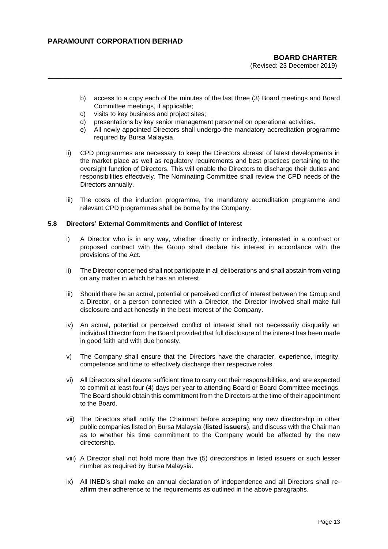# **BOARD CHARTER**

(Revised: 23 December 2019)

- b) access to a copy each of the minutes of the last three (3) Board meetings and Board Committee meetings, if applicable;
- c) visits to key business and project sites;
- d) presentations by key senior management personnel on operational activities.

**\_\_\_\_\_\_\_\_\_\_\_\_\_\_\_\_\_\_\_\_\_\_\_\_\_\_\_\_\_\_\_\_\_\_\_\_\_\_\_\_\_\_\_\_\_\_\_\_\_\_\_\_\_\_\_\_\_\_**

- e) All newly appointed Directors shall undergo the mandatory accreditation programme required by Bursa Malaysia.
- ii) CPD programmes are necessary to keep the Directors abreast of latest developments in the market place as well as regulatory requirements and best practices pertaining to the oversight function of Directors. This will enable the Directors to discharge their duties and responsibilities effectively. The Nominating Committee shall review the CPD needs of the Directors annually.
- iii) The costs of the induction programme, the mandatory accreditation programme and relevant CPD programmes shall be borne by the Company.

#### **5.8 Directors' External Commitments and Conflict of Interest**

- i) A Director who is in any way, whether directly or indirectly, interested in a contract or proposed contract with the Group shall declare his interest in accordance with the provisions of the Act.
- ii) The Director concerned shall not participate in all deliberations and shall abstain from voting on any matter in which he has an interest.
- iii) Should there be an actual, potential or perceived conflict of interest between the Group and a Director, or a person connected with a Director, the Director involved shall make full disclosure and act honestly in the best interest of the Company.
- iv) An actual, potential or perceived conflict of interest shall not necessarily disqualify an individual Director from the Board provided that full disclosure of the interest has been made in good faith and with due honesty.
- v) The Company shall ensure that the Directors have the character, experience, integrity, competence and time to effectively discharge their respective roles.
- vi) All Directors shall devote sufficient time to carry out their responsibilities, and are expected to commit at least four (4) days per year to attending Board or Board Committee meetings. The Board should obtain this commitment from the Directors at the time of their appointment to the Board.
- vii) The Directors shall notify the Chairman before accepting any new directorship in other public companies listed on Bursa Malaysia (**listed issuers**), and discuss with the Chairman as to whether his time commitment to the Company would be affected by the new directorship.
- viii) A Director shall not hold more than five (5) directorships in listed issuers or such lesser number as required by Bursa Malaysia.
- ix) All INED's shall make an annual declaration of independence and all Directors shall reaffirm their adherence to the requirements as outlined in the above paragraphs.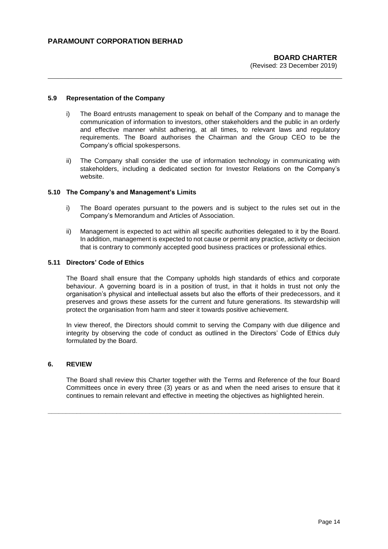#### **5.9 Representation of the Company**

i) The Board entrusts management to speak on behalf of the Company and to manage the communication of information to investors, other stakeholders and the public in an orderly and effective manner whilst adhering, at all times, to relevant laws and regulatory requirements. The Board authorises the Chairman and the Group CEO to be the Company's official spokespersons.

**\_\_\_\_\_\_\_\_\_\_\_\_\_\_\_\_\_\_\_\_\_\_\_\_\_\_\_\_\_\_\_\_\_\_\_\_\_\_\_\_\_\_\_\_\_\_\_\_\_\_\_\_\_\_\_\_\_\_**

ii) The Company shall consider the use of information technology in communicating with stakeholders, including a dedicated section for Investor Relations on the Company's website.

#### **5.10 The Company's and Management's Limits**

- i) The Board operates pursuant to the powers and is subject to the rules set out in the Company's Memorandum and Articles of Association.
- ii) Management is expected to act within all specific authorities delegated to it by the Board. In addition, management is expected to not cause or permit any practice, activity or decision that is contrary to commonly accepted good business practices or professional ethics.

#### **5.11 Directors' Code of Ethics**

The Board shall ensure that the Company upholds high standards of ethics and corporate behaviour. A governing board is in a position of trust, in that it holds in trust not only the organisation's physical and intellectual assets but also the efforts of their predecessors, and it preserves and grows these assets for the current and future generations. Its stewardship will protect the organisation from harm and steer it towards positive achievement.

In view thereof, the Directors should commit to serving the Company with due diligence and integrity by observing the code of conduct as outlined in the Directors' Code of Ethics duly formulated by the Board.

#### **6. REVIEW**

The Board shall review this Charter together with the Terms and Reference of the four Board Committees once in every three (3) years or as and when the need arises to ensure that it continues to remain relevant and effective in meeting the objectives as highlighted herein.

**\_\_\_\_\_\_\_\_\_\_\_\_\_\_\_\_\_\_\_\_\_\_\_\_\_\_\_\_\_\_\_\_\_\_\_\_\_\_\_\_\_\_\_\_\_\_\_\_\_\_\_\_\_\_\_\_\_\_\_\_\_\_\_\_\_\_\_\_\_\_\_\_\_\_\_\_\_\_\_\_\_**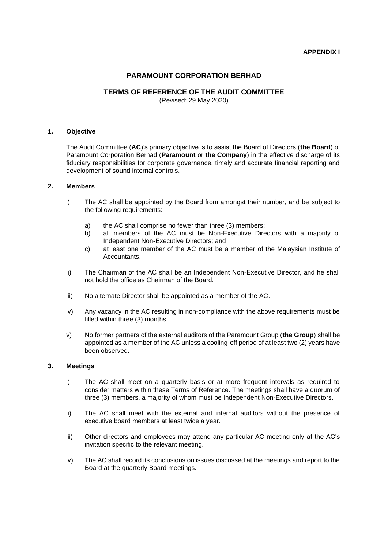# **PARAMOUNT CORPORATION BERHAD**

# **TERMS OF REFERENCE OF THE AUDIT COMMITTEE**

(Revised: 29 May 2020) **\_\_\_\_\_\_\_\_\_\_\_\_\_\_\_\_\_\_\_\_\_\_\_\_\_\_\_\_\_\_\_\_\_\_\_\_\_\_\_\_\_\_\_\_\_\_\_\_\_\_\_\_\_\_\_\_\_\_\_\_\_\_\_\_\_\_\_\_\_\_\_\_\_\_\_\_\_\_\_\_**

#### **1. Objective**

The Audit Committee (**AC**)'s primary objective is to assist the Board of Directors (**the Board**) of Paramount Corporation Berhad (**Paramount** or **the Company**) in the effective discharge of its fiduciary responsibilities for corporate governance, timely and accurate financial reporting and development of sound internal controls.

#### **2. Members**

- i) The AC shall be appointed by the Board from amongst their number, and be subject to the following requirements:
	- a) the AC shall comprise no fewer than three (3) members;
	- b) all members of the AC must be Non-Executive Directors with a majority of Independent Non-Executive Directors; and
	- c) at least one member of the AC must be a member of the Malaysian Institute of Accountants.
- ii) The Chairman of the AC shall be an Independent Non-Executive Director, and he shall not hold the office as Chairman of the Board.
- iii) No alternate Director shall be appointed as a member of the AC.
- iv) Any vacancy in the AC resulting in non-compliance with the above requirements must be filled within three (3) months.
- v) No former partners of the external auditors of the Paramount Group (**the Group**) shall be appointed as a member of the AC unless a cooling-off period of at least two (2) years have been observed.

#### **3. Meetings**

- i) The AC shall meet on a quarterly basis or at more frequent intervals as required to consider matters within these Terms of Reference. The meetings shall have a quorum of three (3) members, a majority of whom must be Independent Non-Executive Directors.
- ii) The AC shall meet with the external and internal auditors without the presence of executive board members at least twice a year.
- iii) Other directors and employees may attend any particular AC meeting only at the AC's invitation specific to the relevant meeting.
- iv) The AC shall record its conclusions on issues discussed at the meetings and report to the Board at the quarterly Board meetings.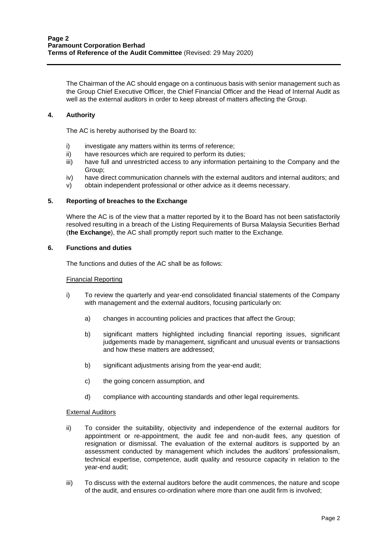The Chairman of the AC should engage on a continuous basis with senior management such as the Group Chief Executive Officer, the Chief Financial Officer and the Head of Internal Audit as well as the external auditors in order to keep abreast of matters affecting the Group.

# **4. Authority**

The AC is hereby authorised by the Board to:

- i) investigate any matters within its terms of reference;
- ii) have resources which are required to perform its duties;
- iii) have full and unrestricted access to any information pertaining to the Company and the Group;
- iv) have direct communication channels with the external auditors and internal auditors; and
- v) obtain independent professional or other advice as it deems necessary.

#### **5. Reporting of breaches to the Exchange**

Where the AC is of the view that a matter reported by it to the Board has not been satisfactorily resolved resulting in a breach of the Listing Requirements of Bursa Malaysia Securities Berhad (**the Exchange**), the AC shall promptly report such matter to the Exchange.

#### **6. Functions and duties**

The functions and duties of the AC shall be as follows:

#### Financial Reporting

- i) To review the quarterly and year-end consolidated financial statements of the Company with management and the external auditors, focusing particularly on:
	- a) changes in accounting policies and practices that affect the Group;
	- b) significant matters highlighted including financial reporting issues, significant judgements made by management, significant and unusual events or transactions and how these matters are addressed;
	- b) significant adjustments arising from the year-end audit;
	- c) the going concern assumption, and
	- d) compliance with accounting standards and other legal requirements.

#### External Auditors

- ii) To consider the suitability, objectivity and independence of the external auditors for appointment or re-appointment, the audit fee and non-audit fees, any question of resignation or dismissal. The evaluation of the external auditors is supported by an assessment conducted by management which includes the auditors' professionalism, technical expertise, competence, audit quality and resource capacity in relation to the year-end audit;
- iii) To discuss with the external auditors before the audit commences, the nature and scope of the audit, and ensures co-ordination where more than one audit firm is involved;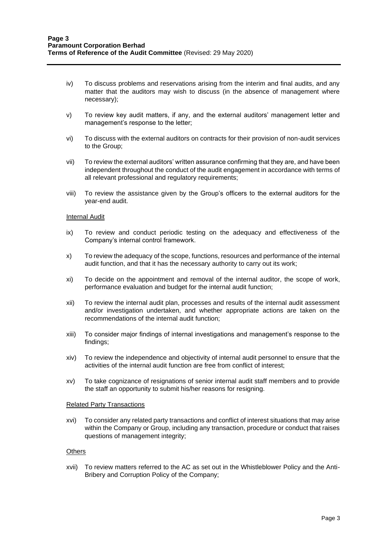- iv) To discuss problems and reservations arising from the interim and final audits, and any matter that the auditors may wish to discuss (in the absence of management where necessary);
- v) To review key audit matters, if any, and the external auditors' management letter and management's response to the letter;
- vi) To discuss with the external auditors on contracts for their provision of non-audit services to the Group;
- vii) To review the external auditors' written assurance confirming that they are, and have been independent throughout the conduct of the audit engagement in accordance with terms of all relevant professional and regulatory requirements;
- viii) To review the assistance given by the Group's officers to the external auditors for the year-end audit.

#### Internal Audit

- ix) To review and conduct periodic testing on the adequacy and effectiveness of the Company's internal control framework.
- x) To review the adequacy of the scope, functions, resources and performance of the internal audit function, and that it has the necessary authority to carry out its work;
- xi) To decide on the appointment and removal of the internal auditor, the scope of work, performance evaluation and budget for the internal audit function;
- xii) To review the internal audit plan, processes and results of the internal audit assessment and/or investigation undertaken, and whether appropriate actions are taken on the recommendations of the internal audit function;
- xiii) To consider major findings of internal investigations and management's response to the findings;
- xiv) To review the independence and objectivity of internal audit personnel to ensure that the activities of the internal audit function are free from conflict of interest;
- xv) To take cognizance of resignations of senior internal audit staff members and to provide the staff an opportunity to submit his/her reasons for resigning.

#### Related Party Transactions

xvi) To consider any related party transactions and conflict of interest situations that may arise within the Company or Group, including any transaction, procedure or conduct that raises questions of management integrity;

#### **Others**

xvii) To review matters referred to the AC as set out in the Whistleblower Policy and the Anti-Bribery and Corruption Policy of the Company;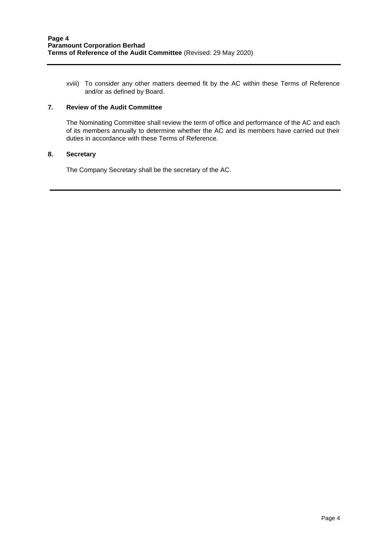xviii) To consider any other matters deemed fit by the AC within these Terms of Reference and/or as defined by Board.

# **7. Review of the Audit Committee**

The Nominating Committee shall review the term of office and performance of the AC and each of its members annually to determine whether the AC and its members have carried out their duties in accordance with these Terms of Reference.

#### **8. Secretary**

The Company Secretary shall be the secretary of the AC.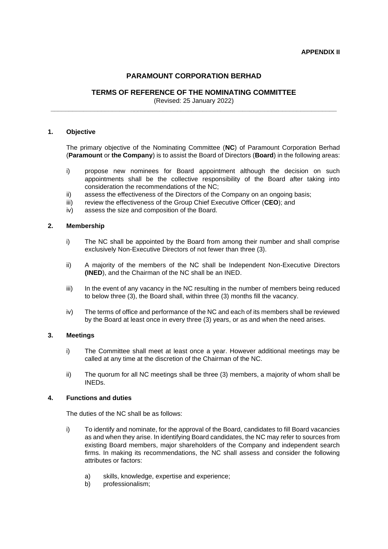# **PARAMOUNT CORPORATION BERHAD**

# **TERMS OF REFERENCE OF THE NOMINATING COMMITTEE**

(Revised: 25 January 2022) **\_\_\_\_\_\_\_\_\_\_\_\_\_\_\_\_\_\_\_\_\_\_\_\_\_\_\_\_\_\_\_\_\_\_\_\_\_\_\_\_\_\_\_\_\_\_\_\_\_\_\_\_\_\_\_\_\_\_\_\_\_\_\_\_\_\_\_\_\_\_\_\_\_\_\_\_\_\_\_**

#### **1. Objective**

The primary objective of the Nominating Committee (**NC**) of Paramount Corporation Berhad (**Paramount** or **the Company**) is to assist the Board of Directors (**Board**) in the following areas:

- i) propose new nominees for Board appointment although the decision on such appointments shall be the collective responsibility of the Board after taking into consideration the recommendations of the NC;
- ii) assess the effectiveness of the Directors of the Company on an ongoing basis;
- iii) review the effectiveness of the Group Chief Executive Officer (**CEO**); and
- iv) assess the size and composition of the Board.

#### **2. Membership**

- i) The NC shall be appointed by the Board from among their number and shall comprise exclusively Non-Executive Directors of not fewer than three (3).
- ii) A majority of the members of the NC shall be Independent Non-Executive Directors **(INED**), and the Chairman of the NC shall be an INED.
- iii) In the event of any vacancy in the NC resulting in the number of members being reduced to below three (3), the Board shall, within three (3) months fill the vacancy.
- iv) The terms of office and performance of the NC and each of its members shall be reviewed by the Board at least once in every three (3) years, or as and when the need arises.

#### **3. Meetings**

- i) The Committee shall meet at least once a year. However additional meetings may be called at any time at the discretion of the Chairman of the NC.
- ii) The quorum for all NC meetings shall be three (3) members, a majority of whom shall be INEDs.

#### **4. Functions and duties**

The duties of the NC shall be as follows:

- i) To identify and nominate, for the approval of the Board, candidates to fill Board vacancies as and when they arise. In identifying Board candidates, the NC may refer to sources from existing Board members, major shareholders of the Company and independent search firms. In making its recommendations, the NC shall assess and consider the following attributes or factors:
	- a) skills, knowledge, expertise and experience;
	- b) professionalism;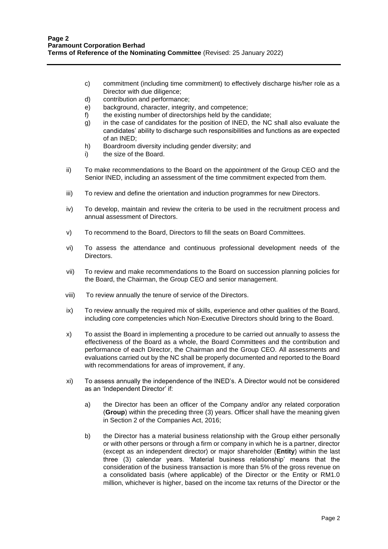- c) commitment (including time commitment) to effectively discharge his/her role as a Director with due diligence;
- d) contribution and performance;
- e) background, character, integrity, and competence;
- f) the existing number of directorships held by the candidate;
- g) in the case of candidates for the position of INED, the NC shall also evaluate the candidates' ability to discharge such responsibilities and functions as are expected of an INED;
- h) Boardroom diversity including gender diversity; and
- i) the size of the Board.
- ii) To make recommendations to the Board on the appointment of the Group CEO and the Senior INED, including an assessment of the time commitment expected from them.
- iii) To review and define the orientation and induction programmes for new Directors.
- iv) To develop, maintain and review the criteria to be used in the recruitment process and annual assessment of Directors.
- v) To recommend to the Board, Directors to fill the seats on Board Committees.
- vi) To assess the attendance and continuous professional development needs of the Directors.
- vii) To review and make recommendations to the Board on succession planning policies for the Board, the Chairman, the Group CEO and senior management.
- viii) To review annually the tenure of service of the Directors.
- ix) To review annually the required mix of skills, experience and other qualities of the Board, including core competencies which Non-Executive Directors should bring to the Board.
- x) To assist the Board in implementing a procedure to be carried out annually to assess the effectiveness of the Board as a whole, the Board Committees and the contribution and performance of each Director, the Chairman and the Group CEO. All assessments and evaluations carried out by the NC shall be properly documented and reported to the Board with recommendations for areas of improvement, if any.
- xi) To assess annually the independence of the INED's. A Director would not be considered as an 'Independent Director' if:
	- a) the Director has been an officer of the Company and/or any related corporation (**Group**) within the preceding three (3) years. Officer shall have the meaning given in Section 2 of the Companies Act, 2016;
	- b) the Director has a material business relationship with the Group either personally or with other persons or through a firm or company in which he is a partner, director (except as an independent director) or major shareholder (**Entity**) within the last three (3) calendar years. 'Material business relationship' means that the consideration of the business transaction is more than 5% of the gross revenue on a consolidated basis (where applicable) of the Director or the Entity or RM1.0 million, whichever is higher, based on the income tax returns of the Director or the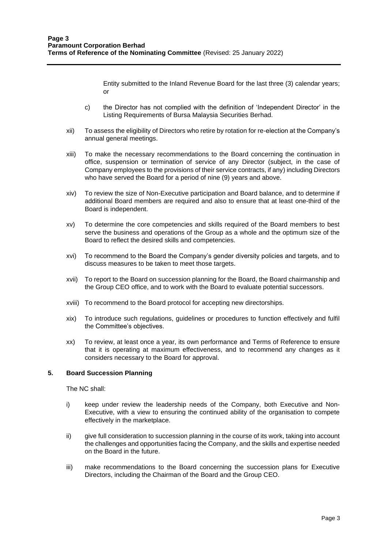Entity submitted to the Inland Revenue Board for the last three (3) calendar years; or

- c) the Director has not complied with the definition of 'Independent Director' in the Listing Requirements of Bursa Malaysia Securities Berhad.
- xii) To assess the eligibility of Directors who retire by rotation for re-election at the Company's annual general meetings.
- xiii) To make the necessary recommendations to the Board concerning the continuation in office, suspension or termination of service of any Director (subject, in the case of Company employees to the provisions of their service contracts, if any) including Directors who have served the Board for a period of nine (9) years and above.
- xiv) To review the size of Non-Executive participation and Board balance, and to determine if additional Board members are required and also to ensure that at least one-third of the Board is independent.
- xv) To determine the core competencies and skills required of the Board members to best serve the business and operations of the Group as a whole and the optimum size of the Board to reflect the desired skills and competencies.
- xvi) To recommend to the Board the Company's gender diversity policies and targets, and to discuss measures to be taken to meet those targets.
- xvii) To report to the Board on succession planning for the Board, the Board chairmanship and the Group CEO office, and to work with the Board to evaluate potential successors.
- xviii) To recommend to the Board protocol for accepting new directorships.
- xix) To introduce such regulations, guidelines or procedures to function effectively and fulfil the Committee's objectives.
- xx) To review, at least once a year, its own performance and Terms of Reference to ensure that it is operating at maximum effectiveness, and to recommend any changes as it considers necessary to the Board for approval.

# **5. Board Succession Planning**

The NC shall:

- i) keep under review the leadership needs of the Company, both Executive and Non-Executive, with a view to ensuring the continued ability of the organisation to compete effectively in the marketplace.
- ii) give full consideration to succession planning in the course of its work, taking into account the challenges and opportunities facing the Company, and the skills and expertise needed on the Board in the future.
- iii) make recommendations to the Board concerning the succession plans for Executive Directors, including the Chairman of the Board and the Group CEO.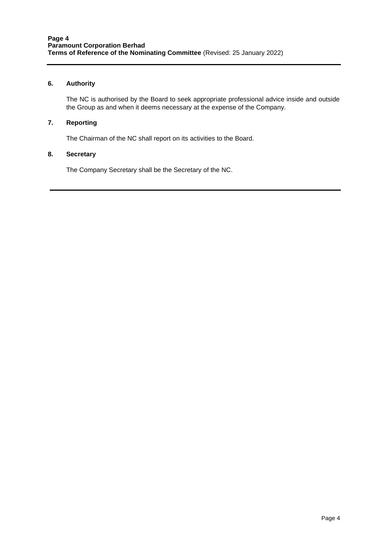# **6. Authority**

The NC is authorised by the Board to seek appropriate professional advice inside and outside the Group as and when it deems necessary at the expense of the Company.

#### **7. Reporting**

The Chairman of the NC shall report on its activities to the Board.

#### **8. Secretary**

The Company Secretary shall be the Secretary of the NC.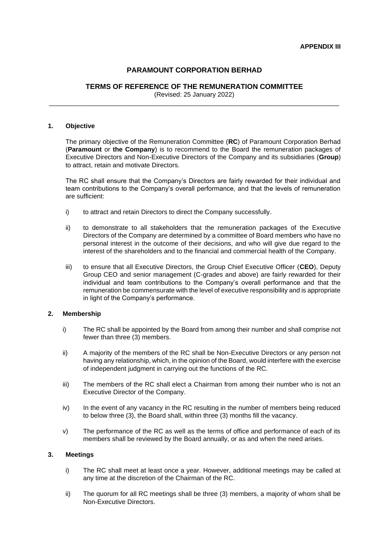# **PARAMOUNT CORPORATION BERHAD**

# **TERMS OF REFERENCE OF THE REMUNERATION COMMITTEE**

(Revised: 25 January 2022) \_\_\_\_\_\_\_\_\_\_\_\_\_\_\_\_\_\_\_\_\_\_\_\_\_\_\_\_\_\_\_\_\_\_\_\_\_\_\_\_\_\_\_\_\_\_\_\_\_\_\_\_\_\_\_\_\_\_\_\_\_\_\_\_\_\_\_\_\_\_\_\_\_\_\_\_\_\_\_\_

#### **1. Objective**

The primary objective of the Remuneration Committee (**RC**) of Paramount Corporation Berhad (**Paramount** or **the Company**) is to recommend to the Board the remuneration packages of Executive Directors and Non-Executive Directors of the Company and its subsidiaries (**Group**) to attract, retain and motivate Directors.

The RC shall ensure that the Company's Directors are fairly rewarded for their individual and team contributions to the Company's overall performance, and that the levels of remuneration are sufficient:

- i) to attract and retain Directors to direct the Company successfully.
- ii) to demonstrate to all stakeholders that the remuneration packages of the Executive Directors of the Company are determined by a committee of Board members who have no personal interest in the outcome of their decisions, and who will give due regard to the interest of the shareholders and to the financial and commercial health of the Company.
- iii) to ensure that all Executive Directors, the Group Chief Executive Officer (**CEO**), Deputy Group CEO and senior management (C-grades and above) are fairly rewarded for their individual and team contributions to the Company's overall performance and that the remuneration be commensurate with the level of executive responsibility and is appropriate in light of the Company's performance.

#### **2. Membership**

- i) The RC shall be appointed by the Board from among their number and shall comprise not fewer than three (3) members.
- ii) A majority of the members of the RC shall be Non-Executive Directors or any person not having any relationship, which, in the opinion of the Board, would interfere with the exercise of independent judgment in carrying out the functions of the RC.
- iii) The members of the RC shall elect a Chairman from among their number who is not an Executive Director of the Company.
- iv) In the event of any vacancy in the RC resulting in the number of members being reduced to below three (3), the Board shall, within three (3) months fill the vacancy.
- v) The performance of the RC as well as the terms of office and performance of each of its members shall be reviewed by the Board annually, or as and when the need arises.

#### **3. Meetings**

- i) The RC shall meet at least once a year. However, additional meetings may be called at any time at the discretion of the Chairman of the RC.
- ii) The quorum for all RC meetings shall be three (3) members, a majority of whom shall be Non-Executive Directors.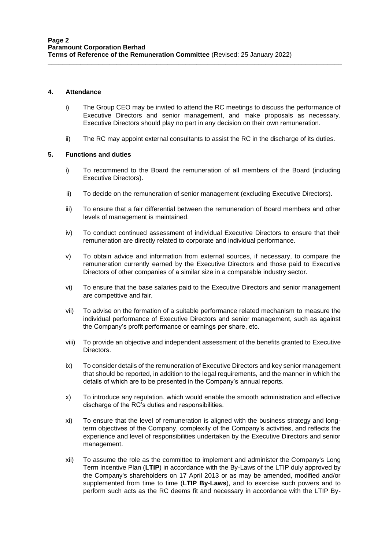#### **4. Attendance**

i) The Group CEO may be invited to attend the RC meetings to discuss the performance of Executive Directors and senior management, and make proposals as necessary. Executive Directors should play no part in any decision on their own remuneration.

**\_\_\_\_\_\_\_\_\_\_\_\_\_\_\_\_\_\_\_\_\_\_\_\_\_\_\_\_\_\_\_\_\_\_\_\_\_\_\_\_\_\_\_\_\_\_\_\_\_\_\_\_\_\_\_\_\_\_\_\_\_\_\_\_\_\_\_\_\_\_\_\_\_\_\_\_\_\_\_\_\_**

ii) The RC may appoint external consultants to assist the RC in the discharge of its duties.

#### **5. Functions and duties**

- i) To recommend to the Board the remuneration of all members of the Board (including Executive Directors).
- ii) To decide on the remuneration of senior management (excluding Executive Directors).
- iii) To ensure that a fair differential between the remuneration of Board members and other levels of management is maintained.
- iv) To conduct continued assessment of individual Executive Directors to ensure that their remuneration are directly related to corporate and individual performance.
- v) To obtain advice and information from external sources, if necessary, to compare the remuneration currently earned by the Executive Directors and those paid to Executive Directors of other companies of a similar size in a comparable industry sector.
- vi) To ensure that the base salaries paid to the Executive Directors and senior management are competitive and fair.
- vii) To advise on the formation of a suitable performance related mechanism to measure the individual performance of Executive Directors and senior management, such as against the Company's profit performance or earnings per share, etc.
- viii) To provide an objective and independent assessment of the benefits granted to Executive Directors.
- ix) To consider details of the remuneration of Executive Directors and key senior management that should be reported, in addition to the legal requirements, and the manner in which the details of which are to be presented in the Company's annual reports.
- x) To introduce any regulation, which would enable the smooth administration and effective discharge of the RC's duties and responsibilities.
- xi) To ensure that the level of remuneration is aligned with the business strategy and longterm objectives of the Company, complexity of the Company's activities, and reflects the experience and level of responsibilities undertaken by the Executive Directors and senior management.
- xii) To assume the role as the committee to implement and administer the Company's Long Term Incentive Plan (**LTIP**) in accordance with the By-Laws of the LTIP duly approved by the Company's shareholders on 17 April 2013 or as may be amended, modified and/or supplemented from time to time (**LTIP By-Laws**), and to exercise such powers and to perform such acts as the RC deems fit and necessary in accordance with the LTIP By-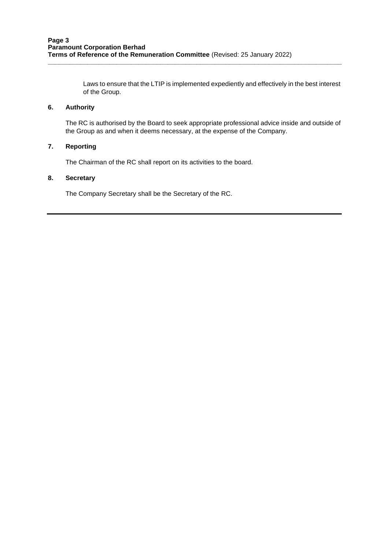Laws to ensure that the LTIP is implemented expediently and effectively in the best interest of the Group.

# **6. Authority**

The RC is authorised by the Board to seek appropriate professional advice inside and outside of the Group as and when it deems necessary, at the expense of the Company.

**\_\_\_\_\_\_\_\_\_\_\_\_\_\_\_\_\_\_\_\_\_\_\_\_\_\_\_\_\_\_\_\_\_\_\_\_\_\_\_\_\_\_\_\_\_\_\_\_\_\_\_\_\_\_\_\_\_\_\_\_\_\_\_\_\_\_\_\_\_\_\_\_\_\_\_\_\_\_\_\_\_**

# **7. Reporting**

The Chairman of the RC shall report on its activities to the board.

# **8. Secretary**

The Company Secretary shall be the Secretary of the RC.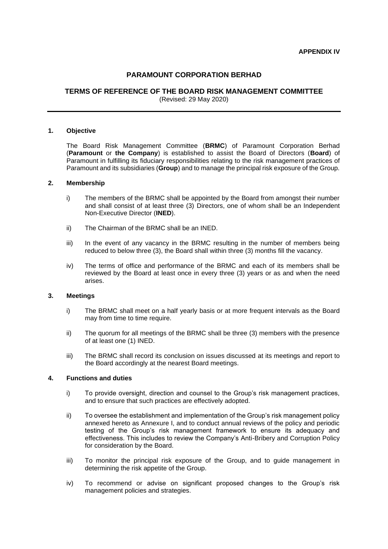# **PARAMOUNT CORPORATION BERHAD**

#### **TERMS OF REFERENCE OF THE BOARD RISK MANAGEMENT COMMITTEE** (Revised: 29 May 2020)

#### **1. Objective**

The Board Risk Management Committee (**BRMC**) of Paramount Corporation Berhad (**Paramount** or **the Company**) is established to assist the Board of Directors (**Board**) of Paramount in fulfilling its fiduciary responsibilities relating to the risk management practices of Paramount and its subsidiaries (**Group**) and to manage the principal risk exposure of the Group.

#### **2. Membership**

- i) The members of the BRMC shall be appointed by the Board from amongst their number and shall consist of at least three (3) Directors, one of whom shall be an Independent Non-Executive Director (**INED**).
- ii) The Chairman of the BRMC shall be an INED.
- iii) In the event of any vacancy in the BRMC resulting in the number of members being reduced to below three (3), the Board shall within three (3) months fill the vacancy.
- iv) The terms of office and performance of the BRMC and each of its members shall be reviewed by the Board at least once in every three (3) years or as and when the need arises.

#### **3. Meetings**

- i) The BRMC shall meet on a half yearly basis or at more frequent intervals as the Board may from time to time require.
- ii) The quorum for all meetings of the BRMC shall be three (3) members with the presence of at least one (1) INED.
- iii) The BRMC shall record its conclusion on issues discussed at its meetings and report to the Board accordingly at the nearest Board meetings.

#### **4. Functions and duties**

- i) To provide oversight, direction and counsel to the Group's risk management practices, and to ensure that such practices are effectively adopted.
- ii) To oversee the establishment and implementation of the Group's risk management policy annexed hereto as Annexure I, and to conduct annual reviews of the policy and periodic testing of the Group's risk management framework to ensure its adequacy and effectiveness. This includes to review the Company's Anti-Bribery and Corruption Policy for consideration by the Board.
- iii) To monitor the principal risk exposure of the Group, and to guide management in determining the risk appetite of the Group.
- iv) To recommend or advise on significant proposed changes to the Group's risk management policies and strategies.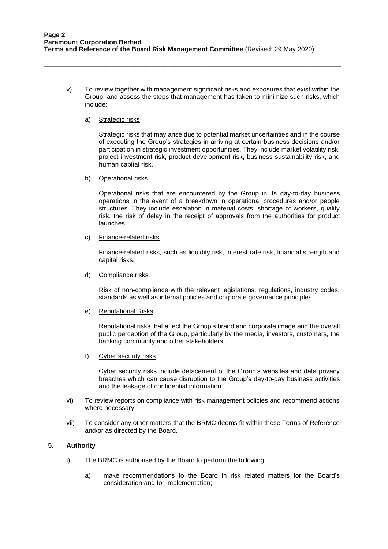**\_\_\_\_\_\_\_\_\_\_\_\_\_\_\_\_\_\_\_\_\_\_\_\_\_\_\_\_\_\_\_\_\_\_\_\_\_\_\_\_\_\_\_\_\_\_\_\_\_\_\_\_\_\_\_\_\_\_\_\_\_\_\_\_\_\_\_\_\_\_\_\_\_\_\_\_\_\_\_\_\_\_**

v) To review together with management significant risks and exposures that exist within the Group, and assess the steps that management has taken to minimize such risks, which include:

#### a) Strategic risks

Strategic risks that may arise due to potential market uncertainties and in the course of executing the Group's strategies in arriving at certain business decisions and/or participation in strategic investment opportunities. They include market volatility risk, project investment risk, product development risk, business sustainability risk, and human capital risk.

b) Operational risks

Operational risks that are encountered by the Group in its day-to-day business operations in the event of a breakdown in operational procedures and/or people structures. They include escalation in material costs, shortage of workers, quality risk, the risk of delay in the receipt of approvals from the authorities for product launches.

c) Finance-related risks

Finance-related risks, such as liquidity risk, interest rate risk, financial strength and capital risks.

d) Compliance risks

Risk of non-compliance with the relevant legislations, regulations, industry codes, standards as well as internal policies and corporate governance principles.

e) Reputational Risks

Reputational risks that affect the Group's brand and corporate image and the overall public perception of the Group, particularly by the media, investors, customers, the banking community and other stakeholders.

f) Cyber security risks

Cyber security risks include defacement of the Group's websites and data privacy breaches which can cause disruption to the Group's day-to-day business activities and the leakage of confidential information.

- vi) To review reports on compliance with risk management policies and recommend actions where necessary.
- vii) To consider any other matters that the BRMC deems fit within these Terms of Reference and/or as directed by the Board.

# **5. Authority**

- i) The BRMC is authorised by the Board to perform the following:
	- a) make recommendations to the Board in risk related matters for the Board's consideration and for implementation;